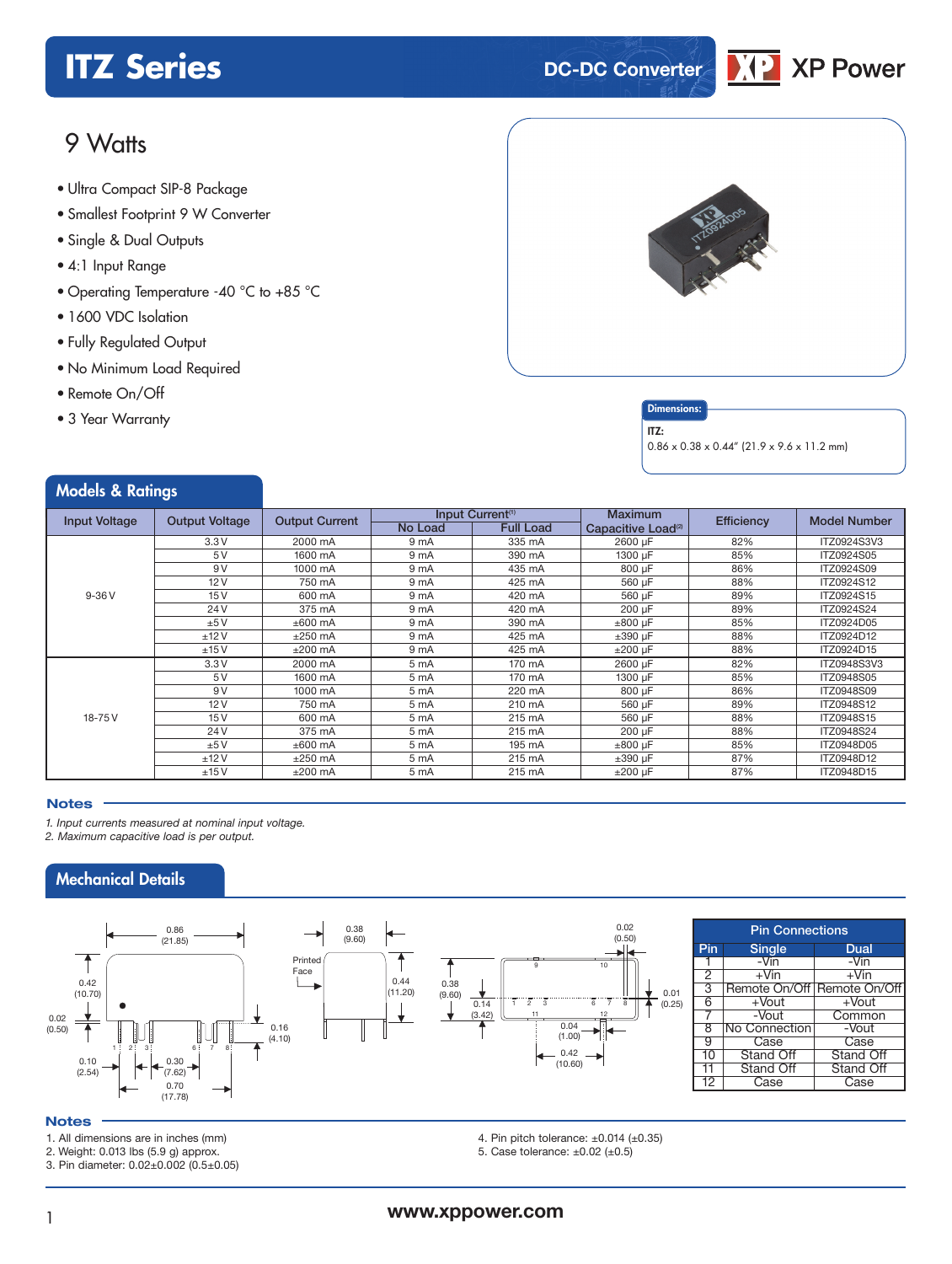## **ITZ** Series **DC-DC** Converter



## 9 Watts

- **xxx Series** Ultra Compact SIP-8 Package
- Smallest Footprint 9 W Converter
- Single & Dual Outputs
- 4:1 Input Range
- Operating Temperature -40 °C to +85 °C
- 1600 VDC Isolation
- Fully Regulated Output

Models & Ratings

- No Minimum Load Required
- Remote On/Off
- 3 Year Warranty



### **Dimensions**

ITZ:

0.86 x 0.38 x 0.44" (21.9 x 9.6 x 11.2 mm)

| <b><i>INCUCIS</i> EXAMPLE</b> |                       |                       |                              |                  |                                |            |                     |
|-------------------------------|-----------------------|-----------------------|------------------------------|------------------|--------------------------------|------------|---------------------|
| <b>Input Voltage</b>          | <b>Output Voltage</b> | <b>Output Current</b> | Input Current <sup>(1)</sup> |                  | <b>Maximum</b>                 | Efficiency | <b>Model Number</b> |
|                               |                       |                       | <b>No Load</b>               | <b>Full Load</b> | Capacitive Load <sup>(2)</sup> |            |                     |
|                               | 3.3V                  | 2000 mA               | 9 mA                         | 335 mA           | 2600 µF                        | 82%        | ITZ0924S3V3         |
|                               | 5V                    | 1600 mA               | 9 mA                         | 390 mA           | 1300 µF                        | 85%        | ITZ0924S05          |
|                               | 9V                    | 1000 mA               | 9 <sub>mA</sub>              | 435 mA           | 800 µF                         | 86%        | ITZ0924S09          |
|                               | 12V                   | 750 mA                | 9 mA                         | 425 mA           | 560 µF                         | 88%        | ITZ0924S12          |
| $9-36V$                       | 15 <sub>V</sub>       | 600 mA                | 9 <sub>mA</sub>              | 420 mA           | 560 µF                         | 89%        | ITZ0924S15          |
|                               | 24V                   | 375 mA                | 9 mA                         | 420 mA           | 200 µF                         | 89%        | ITZ0924S24          |
|                               | ±5V                   | $±600$ mA             | 9 <sub>mA</sub>              | 390 mA           | $±800 \mu F$                   | 85%        | ITZ0924D05          |
|                               | ±12V                  | $±250$ mA             | 9 mA                         | 425 mA           | $\pm 390$ µF                   | 88%        | ITZ0924D12          |
|                               | ±15V                  | $±200$ mA             | 9 mA                         | 425 mA           | $±200 \mu F$                   | 88%        | ITZ0924D15          |
|                               | 3.3V                  | 2000 mA               | 5 mA                         | 170 mA           | 2600 µF                        | 82%        | ITZ0948S3V3         |
|                               | 5V                    | 1600 mA               | 5 mA                         | 170 mA           | 1300 µF                        | 85%        | ITZ0948S05          |
|                               | 9 V                   | 1000 mA               | 5 mA                         | 220 mA           | 800 µF                         | 86%        | ITZ0948S09          |
|                               | 12V                   | 750 mA                | 5 mA                         | 210 mA           | 560 µF                         | 89%        | ITZ0948S12          |
| 18-75 V                       | 15 <sub>V</sub>       | 600 mA                | 5 mA                         | 215 mA           | 560 µF                         | 88%        | ITZ0948S15          |
|                               | 24 V                  | 375 mA                | 5 mA                         | 215 mA           | 200 µF                         | 88%        | ITZ0948S24          |
|                               | ±5V                   | $±600$ mA             | 5 mA                         | 195 mA           | $\pm 800$ µF                   | 85%        | ITZ0948D05          |
|                               | ±12V                  | $±250$ mA             | 5 mA                         | 215 mA           | $\pm 390$ µF                   | 87%        | ITZ0948D12          |
|                               | ±15V                  | $±200$ mA             | 5 mA                         | 215 mA           | $±200 \mu F$                   | 87%        | ITZ0948D15          |

#### **Notes**

*1. Input currents measured at nominal input voltage.*

*2. Maximum capacitive load is per output.*

## Mechanical Details



#### **Notes**

- 1. All dimensions are in inches (mm)
- 2. Weight: 0.013 lbs (5.9 g) approx.
- 3. Pin diameter: 0.02±0.002 (0.5±0.05)
- 4. Pin pitch tolerance:  $\pm 0.014$  ( $\pm 0.35$ )
- 5. Case tolerance: ±0.02 (±0.5)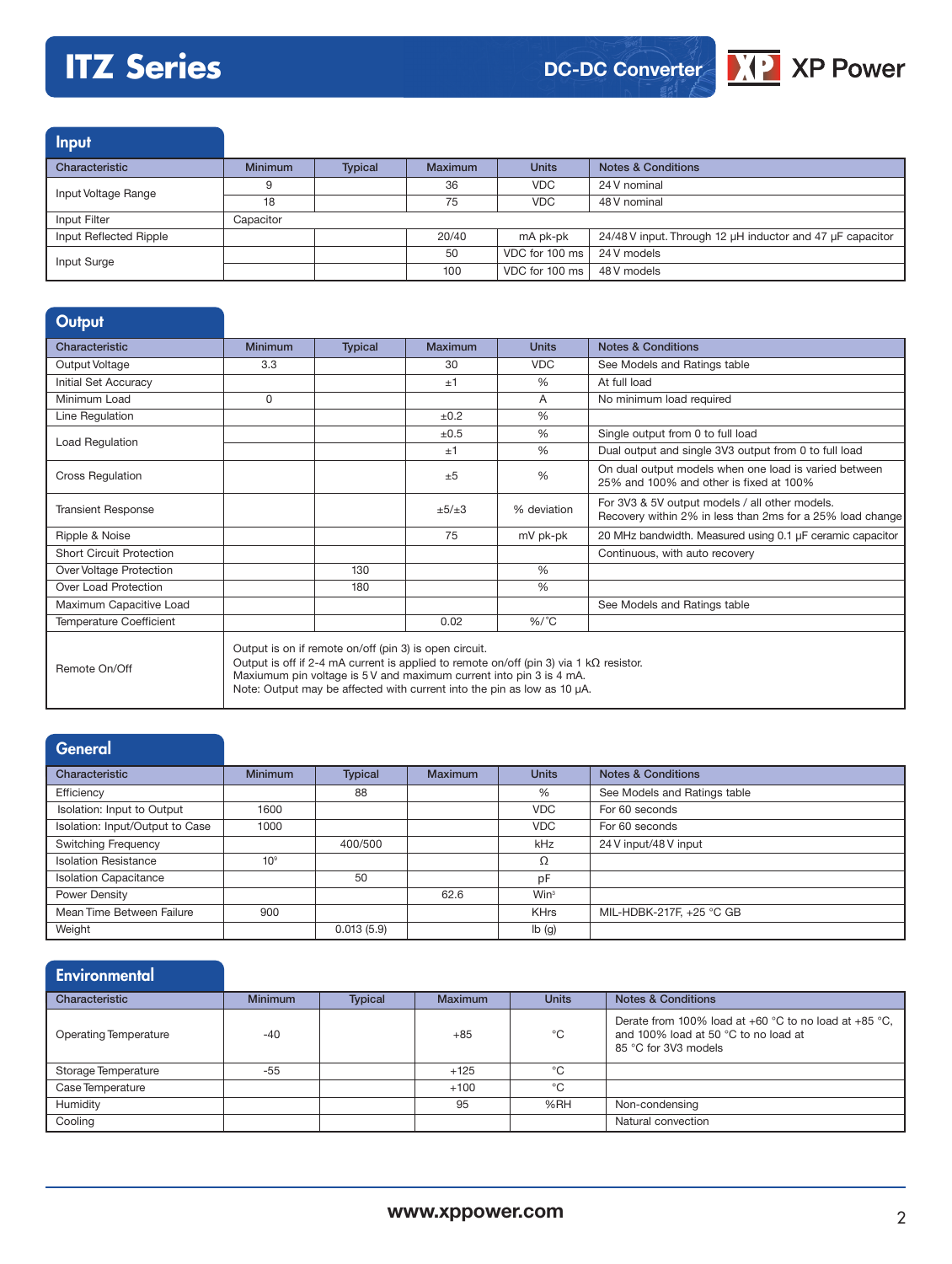## **ITZ Series**



48 V nominal

100 VDC for 100 ms 48 V models



Input Characteristic Minimum Typical Maximum Units Notes & Conditions Input Voltage Range **9** 36 36 VDC 24 V nominal<br>18 75 VDC 48 V nominal Input Filter Capacitor Input Reflected Ripple 20040 mA pk-pk 24/48 V input. Through 12 µH inductor and 47 µF capacitor

Input Surge **100 Contract 100 ms** 24 V models<br>
The Contract of the Contract 100 ms 24 V models

| <b>Output</b>                   |                                                                                                                                                                                                                                                                                                            |                |         |               |                                                                                                             |
|---------------------------------|------------------------------------------------------------------------------------------------------------------------------------------------------------------------------------------------------------------------------------------------------------------------------------------------------------|----------------|---------|---------------|-------------------------------------------------------------------------------------------------------------|
| Characteristic                  | <b>Minimum</b>                                                                                                                                                                                                                                                                                             | <b>Typical</b> | Maximum | <b>Units</b>  | <b>Notes &amp; Conditions</b>                                                                               |
| Output Voltage                  | 3.3                                                                                                                                                                                                                                                                                                        |                | 30      | <b>VDC</b>    | See Models and Ratings table                                                                                |
| Initial Set Accuracy            |                                                                                                                                                                                                                                                                                                            |                | ±1      | $\%$          | At full load                                                                                                |
| Minimum Load                    | $\Omega$                                                                                                                                                                                                                                                                                                   |                |         | A             | No minimum load required                                                                                    |
| Line Regulation                 |                                                                                                                                                                                                                                                                                                            |                | ±0.2    | $\frac{0}{0}$ |                                                                                                             |
|                                 |                                                                                                                                                                                                                                                                                                            |                | ±0.5    | %             | Single output from 0 to full load                                                                           |
| Load Regulation                 |                                                                                                                                                                                                                                                                                                            |                | ±1      | $\%$          | Dual output and single 3V3 output from 0 to full load                                                       |
| <b>Cross Regulation</b>         |                                                                                                                                                                                                                                                                                                            |                | $+5$    | $\%$          | On dual output models when one load is varied between<br>25% and 100% and other is fixed at 100%            |
| <b>Transient Response</b>       |                                                                                                                                                                                                                                                                                                            |                | ±5/±3   | % deviation   | For 3V3 & 5V output models / all other models.<br>Recovery within 2% in less than 2ms for a 25% load change |
| Ripple & Noise                  |                                                                                                                                                                                                                                                                                                            |                | 75      | mV pk-pk      | 20 MHz bandwidth. Measured using 0.1 µF ceramic capacitor                                                   |
| <b>Short Circuit Protection</b> |                                                                                                                                                                                                                                                                                                            |                |         |               | Continuous, with auto recovery                                                                              |
| Over Voltage Protection         |                                                                                                                                                                                                                                                                                                            | 130            |         | $\%$          |                                                                                                             |
| Over Load Protection            |                                                                                                                                                                                                                                                                                                            | 180            |         | %             |                                                                                                             |
| Maximum Capacitive Load         |                                                                                                                                                                                                                                                                                                            |                |         |               | See Models and Ratings table                                                                                |
| <b>Temperature Coefficient</b>  |                                                                                                                                                                                                                                                                                                            |                | 0.02    | $\%$ /°C      |                                                                                                             |
| Remote On/Off                   | Output is on if remote on/off (pin 3) is open circuit.<br>Output is off if 2-4 mA current is applied to remote on/off (pin 3) via 1 k $\Omega$ resistor.<br>Maxiumum pin voltage is 5 V and maximum current into pin 3 is 4 mA.<br>Note: Output may be affected with current into the pin as low as 10 µA. |                |         |               |                                                                                                             |

## **General**

| Characteristic                  | <b>Minimum</b>  | <b>Typical</b> | <b>Maximum</b> | <b>Units</b>     | <b>Notes &amp; Conditions</b> |
|---------------------------------|-----------------|----------------|----------------|------------------|-------------------------------|
| Efficiency                      |                 | 88             |                | %                | See Models and Ratings table  |
| Isolation: Input to Output      | 1600            |                |                | <b>VDC</b>       | For 60 seconds                |
| Isolation: Input/Output to Case | 1000            |                |                | <b>VDC</b>       | For 60 seconds                |
| <b>Switching Frequency</b>      |                 | 400/500        |                | kHz              | 24 V input/48 V input         |
| <b>Isolation Resistance</b>     | 10 <sup>9</sup> |                |                | Ω                |                               |
| <b>Isolation Capacitance</b>    |                 | 50             |                | pF               |                               |
| Power Density                   |                 |                | 62.6           | Win <sup>3</sup> |                               |
| Mean Time Between Failure       | 900             |                |                | <b>KHrs</b>      | MIL-HDBK-217F, +25 °C GB      |
| Weight                          |                 | 0.013(5.9)     |                | Ib(g)            |                               |

| <b>Environmental</b>         |                |                |                |              |                                                                                                                       |
|------------------------------|----------------|----------------|----------------|--------------|-----------------------------------------------------------------------------------------------------------------------|
| Characteristic               | <b>Minimum</b> | <b>Typical</b> | <b>Maximum</b> | <b>Units</b> | <b>Notes &amp; Conditions</b>                                                                                         |
| <b>Operating Temperature</b> | $-40$          |                | $+85$          | °C           | Derate from 100% load at +60 °C to no load at +85 °C,<br>and 100% load at 50 °C to no load at<br>85 °C for 3V3 models |
| Storage Temperature          | $-55$          |                | $+125$         | °C           |                                                                                                                       |
| Case Temperature             |                |                | $+100$         | °C           |                                                                                                                       |
| Humidity                     |                |                | 95             | %RH          | Non-condensing                                                                                                        |
| Cooling                      |                |                |                |              | Natural convection                                                                                                    |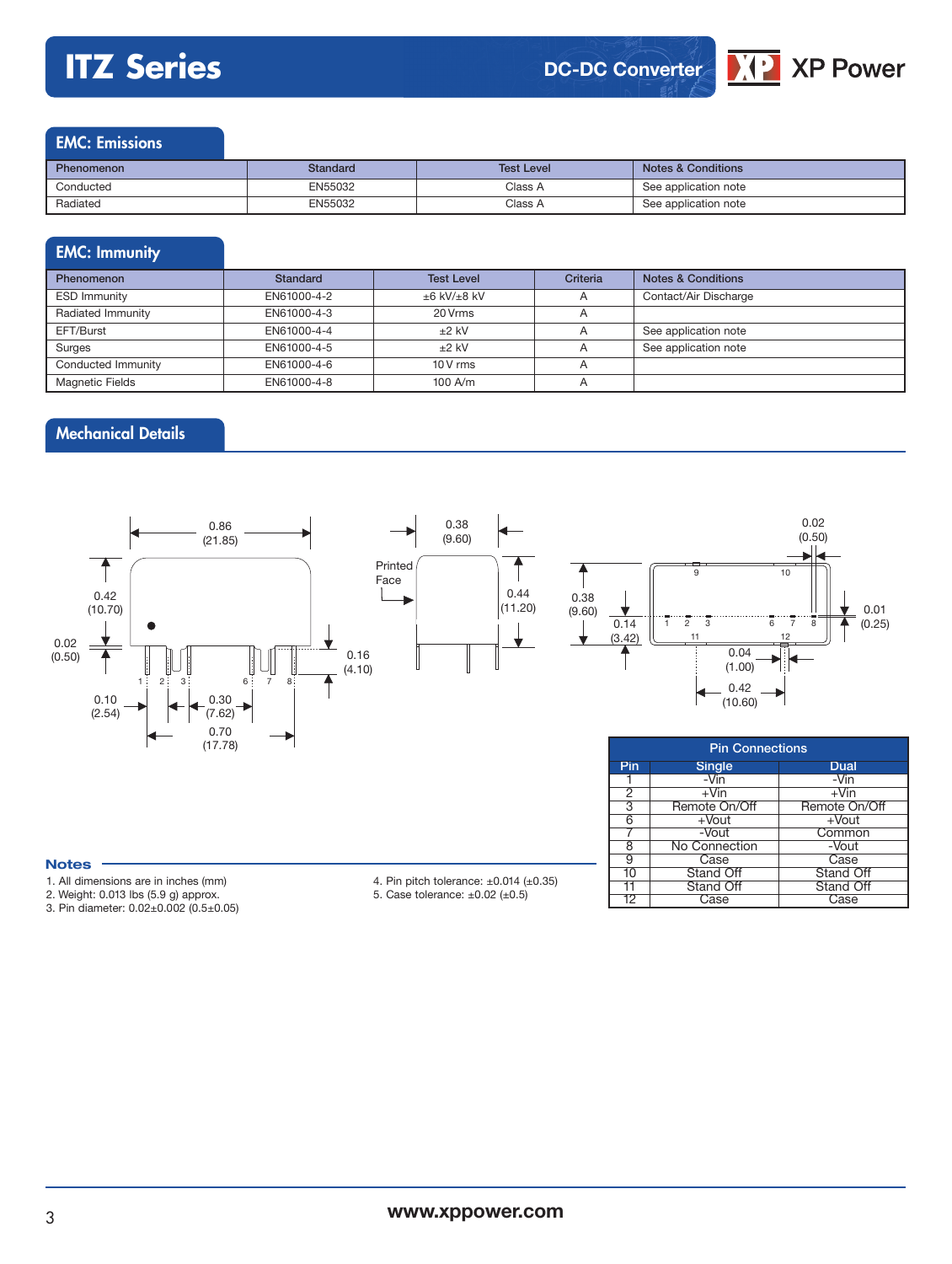## **ITZ Series**



 $\sqrt{12}$  XP Power

2 +Vin +Vin<br>3 Remote On/Off Remote On/Off 3 Remote On/Off Remote On<br>
6 + Vout + Vout<br>
7 - Vout Commo +Vout<br>-Vout

7 -Vout Common<br>8 No Connection -Vout 8 No Connection - Vout<br>9 Case Case

10 Stand Off Stand Off Stand Off Stand Off Stand Off Stand Off

Case Case

9 Case<br>10 Stand Off

11 Stand Off<br>12 Case



| Phenomenon | Standard | <b>Test Level</b> | <b>Notes &amp; Conditions</b> |
|------------|----------|-------------------|-------------------------------|
| Conducted  | EN55032  | Class A           | See application note          |
| Radiated   | EN55032  | Class A           | See application note          |

## EMC: Immunity

| <b>Phenomenon</b>      | Standard    | <b>Test Level</b>      | Criteria       | <b>Notes &amp; Conditions</b> |
|------------------------|-------------|------------------------|----------------|-------------------------------|
| <b>ESD Immunity</b>    | EN61000-4-2 | $\pm 6$ kV/ $\pm 8$ kV | $\overline{A}$ | Contact/Air Discharge         |
| Radiated Immunity      | EN61000-4-3 | 20 Vrms                | $\overline{A}$ |                               |
| EFT/Burst              | EN61000-4-4 | $±2$ kV                |                | See application note          |
| Surges                 | EN61000-4-5 | $±2$ kV                |                | See application note          |
| Conducted Immunity     | EN61000-4-6 | $10V$ rms              |                |                               |
| <b>Magnetic Fields</b> | EN61000-4-8 | $100$ A/m              |                |                               |

## Mechanical Details



#### **Notes**

- 1. All dimensions are in inches (mm)
- 2. Weight: 0.013 lbs (5.9 g) approx.

3. Pin diameter: 0.02±0.002 (0.5±0.05)

4. Pin pitch tolerance: ±0.014 (±0.35) 5. Case tolerance:  $\pm 0.02$  ( $\pm 0.5$ )